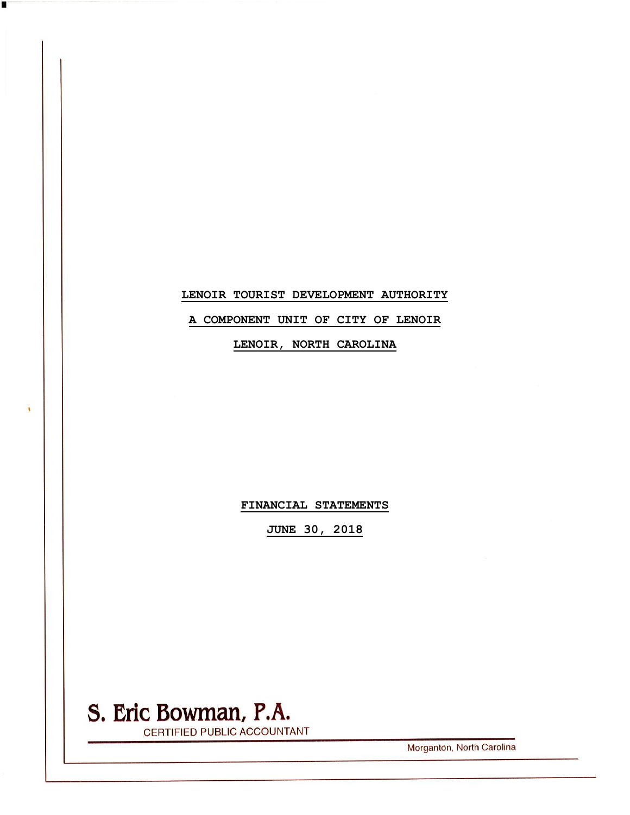# **LENOIR TOURIST DEVELOPMENT AUTHORITY**

**A COMPONENT UNIT OF CITY OF LENOIR**

**LENOIR, NORTH CAROLINA**

**FINANCIAL STATEMENTS**

**JUNE 30, 2018**

# S. Eric Bowman, P.A.

CERTIFIED PUBLIC ACCOUNTANT

Morganton, North Carolina

П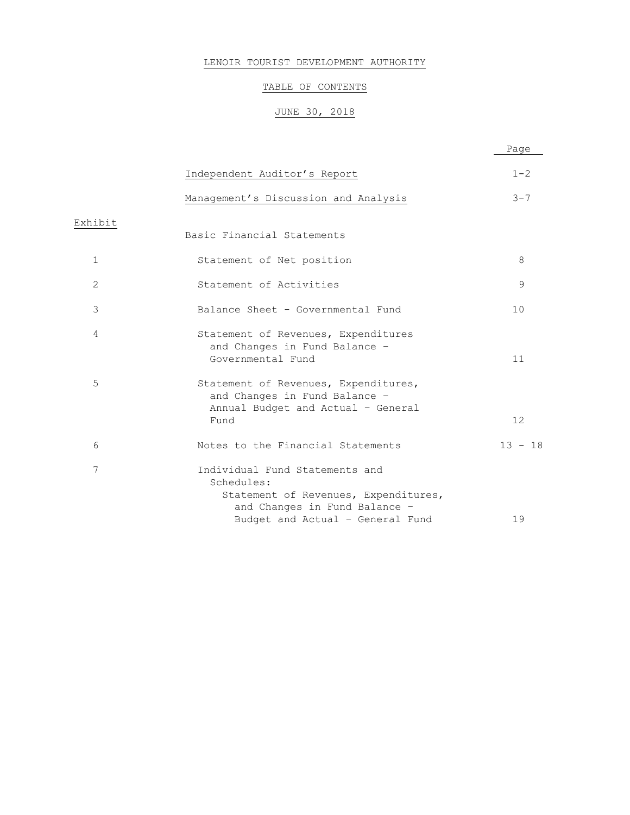# LENOIR TOURIST DEVELOPMENT AUTHORITY

# TABLE OF CONTENTS

# JUNE 30, 2018

|              |                                                                                                                       | Page      |
|--------------|-----------------------------------------------------------------------------------------------------------------------|-----------|
|              | Independent Auditor's Report                                                                                          | $1 - 2$   |
|              | Management's Discussion and Analysis                                                                                  | $3 - 7$   |
| Exhibit      | Basic Financial Statements                                                                                            |           |
| $\mathbf{1}$ | Statement of Net position                                                                                             | 8         |
| 2            | Statement of Activities                                                                                               | 9         |
| 3            | Balance Sheet - Governmental Fund                                                                                     | 10        |
| 4            | Statement of Revenues, Expenditures<br>and Changes in Fund Balance -<br>Governmental Fund                             | 11        |
| 5            | Statement of Revenues, Expenditures,<br>and Changes in Fund Balance -<br>Annual Budget and Actual - General<br>Fund   | 12        |
| 6            | Notes to the Financial Statements                                                                                     | $13 - 18$ |
| 7            | Individual Fund Statements and<br>Schedules:<br>Statement of Revenues, Expenditures,<br>and Changes in Fund Balance - |           |
|              | Budget and Actual - General Fund                                                                                      | 19        |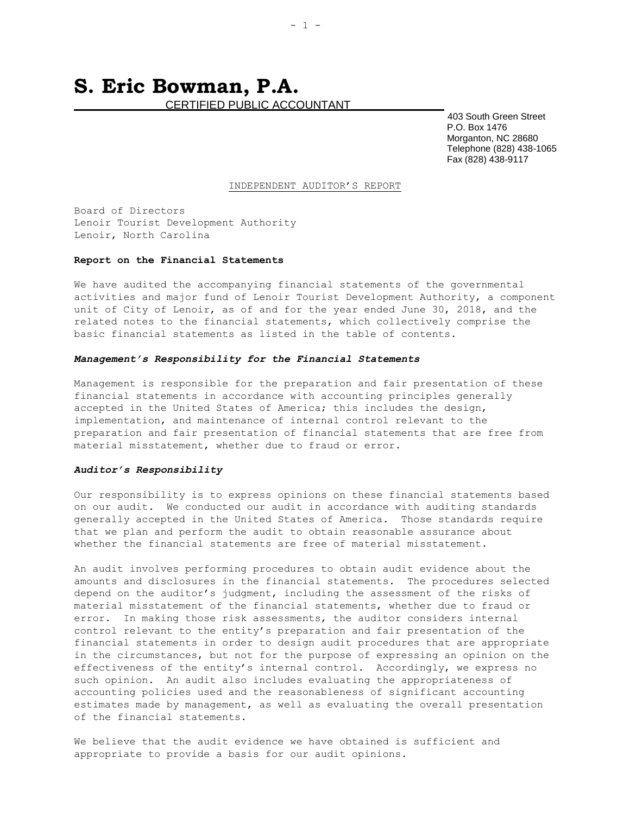# **S. Eric Bowman, P.A.**

CERTIFIED PUBLIC ACCOUNTANT

403 South Green Street P.O. Box 1476 Morganton, NC 28680 Telephone (828) 438-1065 Fax (828) 438-9117

# INDEPENDENT AUDITOR'S REPORT

Board of Directors Lenoir Tourist Development Authority Lenoir, North Carolina

# **Report on the Financial Statements**

We have audited the accompanying financial statements of the governmental activities and major fund of Lenoir Tourist Development Authority, a component unit of City of Lenoir, as of and for the year ended June 30, 2018, and the related notes to the financial statements, which collectively comprise the basic financial statements as listed in the table of contents.

## *Management's Responsibility for the Financial Statements*

Management is responsible for the preparation and fair presentation of these financial statements in accordance with accounting principles generally accepted in the United States of America; this includes the design, implementation, and maintenance of internal control relevant to the preparation and fair presentation of financial statements that are free from material misstatement, whether due to fraud or error.

# *Auditor's Responsibility*

Our responsibility is to express opinions on these financial statements based on our audit. We conducted our audit in accordance with auditing standards generally accepted in the United States of America. Those standards require that we plan and perform the audit to obtain reasonable assurance about whether the financial statements are free of material misstatement.

An audit involves performing procedures to obtain audit evidence about the amounts and disclosures in the financial statements. The procedures selected depend on the auditor's judgment, including the assessment of the risks of material misstatement of the financial statements, whether due to fraud or error. In making those risk assessments, the auditor considers internal control relevant to the entity's preparation and fair presentation of the financial statements in order to design audit procedures that are appropriate in the circumstances, but not for the purpose of expressing an opinion on the effectiveness of the entity's internal control. Accordingly, we express no such opinion. An audit also includes evaluating the appropriateness of accounting policies used and the reasonableness of significant accounting estimates made by management, as well as evaluating the overall presentation of the financial statements.

We believe that the audit evidence we have obtained is sufficient and appropriate to provide a basis for our audit opinions.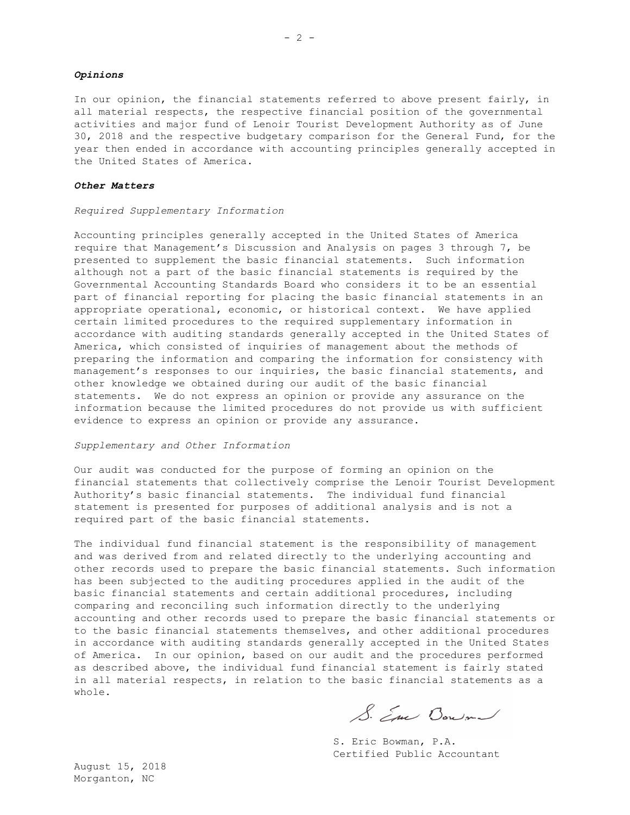# *Opinions*

In our opinion, the financial statements referred to above present fairly, in all material respects, the respective financial position of the governmental activities and major fund of Lenoir Tourist Development Authority as of June 30, 2018 and the respective budgetary comparison for the General Fund, for the year then ended in accordance with accounting principles generally accepted in the United States of America.

# *Other Matters*

# *Required Supplementary Information*

Accounting principles generally accepted in the United States of America require that Management's Discussion and Analysis on pages 3 through 7, be presented to supplement the basic financial statements. Such information although not a part of the basic financial statements is required by the Governmental Accounting Standards Board who considers it to be an essential part of financial reporting for placing the basic financial statements in an appropriate operational, economic, or historical context. We have applied certain limited procedures to the required supplementary information in accordance with auditing standards generally accepted in the United States of America, which consisted of inquiries of management about the methods of preparing the information and comparing the information for consistency with management's responses to our inquiries, the basic financial statements, and other knowledge we obtained during our audit of the basic financial statements. We do not express an opinion or provide any assurance on the information because the limited procedures do not provide us with sufficient evidence to express an opinion or provide any assurance.

# *Supplementary and Other Information*

Our audit was conducted for the purpose of forming an opinion on the financial statements that collectively comprise the Lenoir Tourist Development Authority's basic financial statements. The individual fund financial statement is presented for purposes of additional analysis and is not a required part of the basic financial statements.

The individual fund financial statement is the responsibility of management and was derived from and related directly to the underlying accounting and other records used to prepare the basic financial statements. Such information has been subjected to the auditing procedures applied in the audit of the basic financial statements and certain additional procedures, including comparing and reconciling such information directly to the underlying accounting and other records used to prepare the basic financial statements or to the basic financial statements themselves, and other additional procedures in accordance with auditing standards generally accepted in the United States of America. In our opinion, based on our audit and the procedures performed as described above, the individual fund financial statement is fairly stated in all material respects, in relation to the basic financial statements as a whole.

S. Em Bowm

 S. Eric Bowman, P.A. Certified Public Accountant

August 15, 2018 Morganton, NC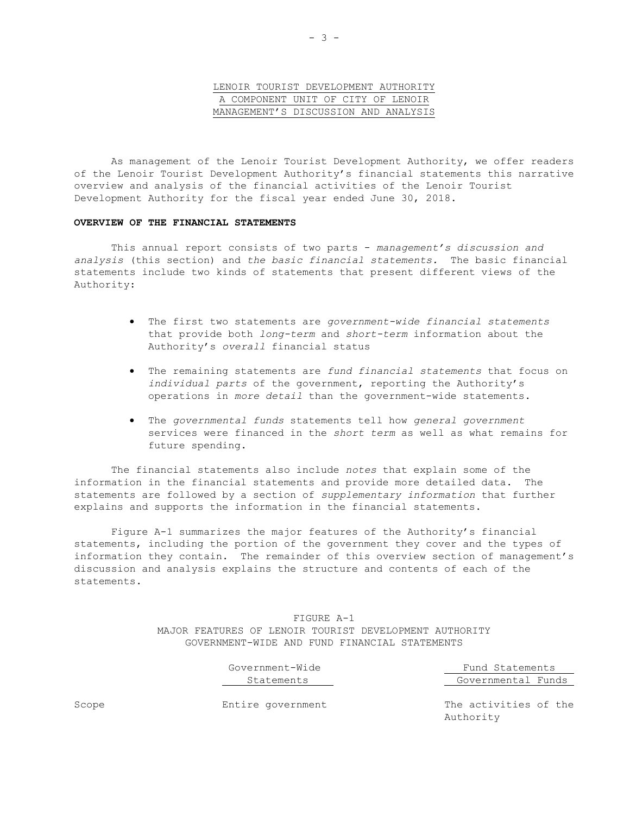# LENOIR TOURIST DEVELOPMENT AUTHORITY A COMPONENT UNIT OF CITY OF LENOIR MANAGEMENT'S DISCUSSION AND ANALYSIS

 $- 3 -$ 

As management of the Lenoir Tourist Development Authority, we offer readers of the Lenoir Tourist Development Authority's financial statements this narrative overview and analysis of the financial activities of the Lenoir Tourist Development Authority for the fiscal year ended June 30, 2018.

### **OVERVIEW OF THE FINANCIAL STATEMENTS**

This annual report consists of two parts - *management's discussion and analysis* (this section) and *the basic financial statements.* The basic financial statements include two kinds of statements that present different views of the Authority:

- The first two statements are *government-wide financial statements* that provide both *long-term* and *short-term* information about the Authority's *overall* financial status
- The remaining statements are *fund financial statements* that focus on *individual parts* of the government, reporting the Authority's operations in *more detail* than the government-wide statements.
- The *governmental funds* statements tell how *general government*  services were financed in the *short term* as well as what remains for future spending.

The financial statements also include *notes* that explain some of the information in the financial statements and provide more detailed data. The statements are followed by a section of *supplementary information* that further explains and supports the information in the financial statements.

Figure A-1 summarizes the major features of the Authority's financial statements, including the portion of the government they cover and the types of information they contain. The remainder of this overview section of management's discussion and analysis explains the structure and contents of each of the statements.

# FIGURE A-1 MAJOR FEATURES OF LENOIR TOURIST DEVELOPMENT AUTHORITY GOVERNMENT-WIDE AND FUND FINANCIAL STATEMENTS

|       | Government-Wide<br>Fund Statements |                                    |
|-------|------------------------------------|------------------------------------|
|       | Statements                         | Governmental Funds                 |
| Scope | Entire government                  | The activities of the<br>Authority |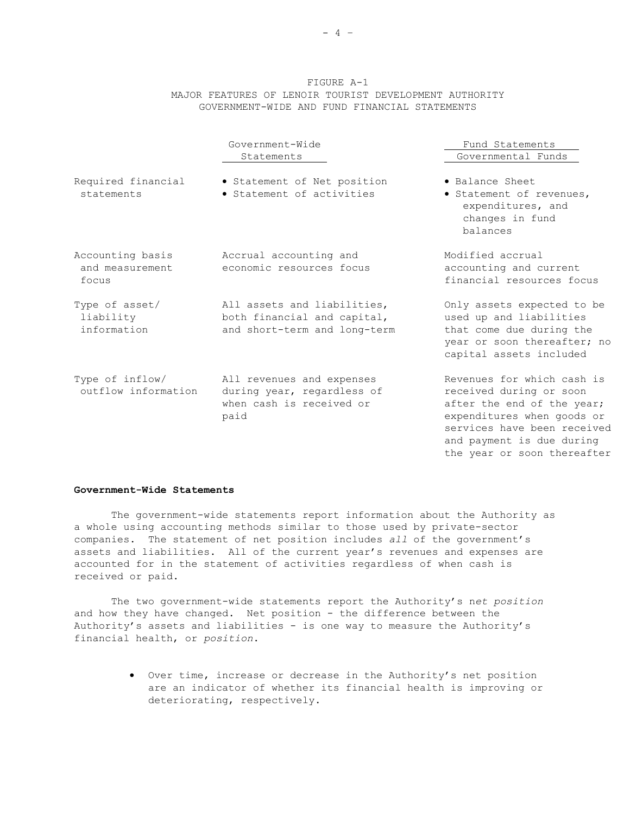|                                               |  | FIGURE A-1 |  |                                                        |
|-----------------------------------------------|--|------------|--|--------------------------------------------------------|
|                                               |  |            |  | MAJOR FEATURES OF LENOIR TOURIST DEVELOPMENT AUTHORITY |
| GOVERNMENT-WIDE AND FUND FINANCIAL STATEMENTS |  |            |  |                                                        |

|                                              | Government-Wide                                                                             | Fund Statements                                                                                                                                                                                              |
|----------------------------------------------|---------------------------------------------------------------------------------------------|--------------------------------------------------------------------------------------------------------------------------------------------------------------------------------------------------------------|
|                                              | Statements                                                                                  | Governmental Funds                                                                                                                                                                                           |
| Required financial<br>statements             | • Statement of Net position<br>· Statement of activities                                    | • Balance Sheet<br>· Statement of revenues,<br>expenditures, and<br>changes in fund<br>balances                                                                                                              |
| Accounting basis<br>and measurement<br>focus | Accrual accounting and<br>economic resources focus                                          | Modified accrual<br>accounting and current<br>financial resources focus                                                                                                                                      |
| Type of asset/<br>liability<br>information   | All assets and liabilities,<br>both financial and capital,<br>and short-term and long-term  | Only assets expected to be<br>used up and liabilities<br>that come due during the<br>year or soon thereafter; no<br>capital assets included                                                                  |
| Type of inflow/<br>outflow information       | All revenues and expenses<br>during year, regardless of<br>when cash is received or<br>paid | Revenues for which cash is<br>received during or soon<br>after the end of the year;<br>expenditures when goods or<br>services have been received<br>and payment is due during<br>the year or soon thereafter |

### **Government-Wide Statements**

The government-wide statements report information about the Authority as a whole using accounting methods similar to those used by private-sector companies. The statement of net position includes *all* of the government's assets and liabilities. All of the current year's revenues and expenses are accounted for in the statement of activities regardless of when cash is received or paid.

The two government-wide statements report the Authority's n*et position* and how they have changed. Net position - the difference between the Authority's assets and liabilities - is one way to measure the Authority's financial health, or *position*.

> Over time, increase or decrease in the Authority's net position are an indicator of whether its financial health is improving or deteriorating, respectively.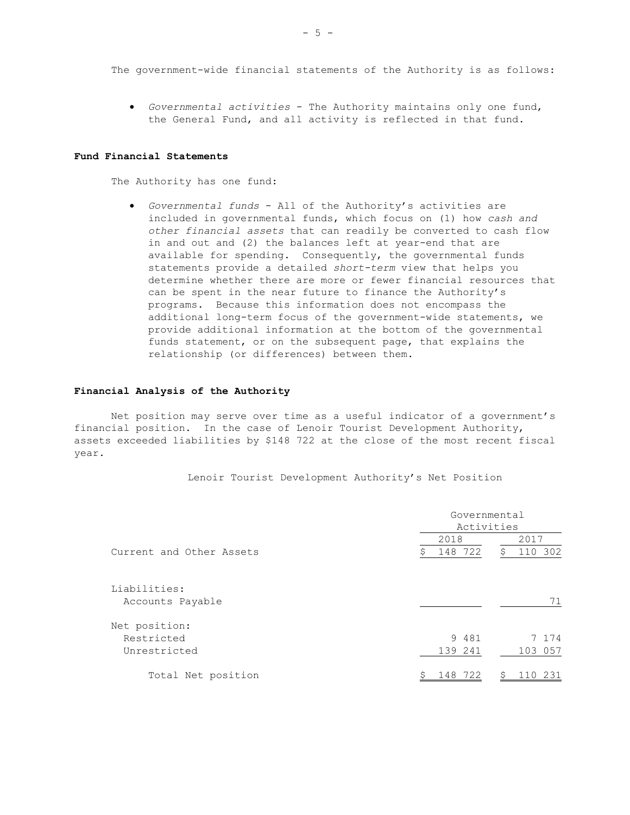The government-wide financial statements of the Authority is as follows:

 *Governmental activities* - The Authority maintains only one fund, the General Fund, and all activity is reflected in that fund.

# **Fund Financial Statements**

The Authority has one fund:

 *Governmental funds* - All of the Authority's activities are included in governmental funds, which focus on (1) how *cash and other financial assets* that can readily be converted to cash flow in and out and (2) the balances left at year-end that are available for spending. Consequently, the governmental funds statements provide a detailed *short-term* view that helps you determine whether there are more or fewer financial resources that can be spent in the near future to finance the Authority's programs. Because this information does not encompass the additional long-term focus of the government-wide statements, we provide additional information at the bottom of the governmental funds statement, or on the subsequent page, that explains the relationship (or differences) between them.

# **Financial Analysis of the Authority**

Net position may serve over time as a useful indicator of a government's financial position. In the case of Lenoir Tourist Development Authority, assets exceeded liabilities by \$148 722 at the close of the most recent fiscal year.

Lenoir Tourist Development Authority's Net Position

|                          | Governmental<br>Activities |               |  |  |  |
|--------------------------|----------------------------|---------------|--|--|--|
|                          | 2018                       | 2017          |  |  |  |
| Current and Other Assets | 148 722                    | \$<br>110 302 |  |  |  |
| Liabilities:             |                            |               |  |  |  |
| Accounts Payable         |                            | 71            |  |  |  |
| Net position:            |                            |               |  |  |  |
| Restricted               | 9 481                      | 7 1 7 4       |  |  |  |
| Unrestricted             | 139 241                    | 103 057       |  |  |  |
| Total Net position       | 148 722                    | \$<br>110 231 |  |  |  |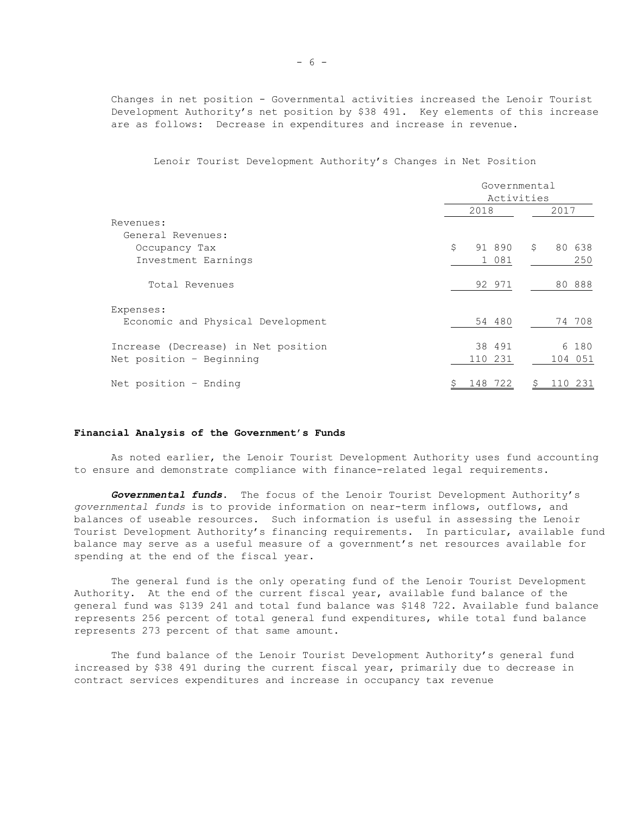Changes in net position - Governmental activities increased the Lenoir Tourist Development Authority's net position by \$38 491. Key elements of this increase are as follows: Decrease in expenditures and increase in revenue.

Lenoir Tourist Development Authority's Changes in Net Position

|                                     | Governmental<br>Activities |         |  |  |
|-------------------------------------|----------------------------|---------|--|--|
|                                     | 2017<br>2018               |         |  |  |
| Revenues:                           |                            |         |  |  |
| General Revenues:                   |                            |         |  |  |
| Occupancy Tax                       | \$<br>\$<br>91 890         | 80 638  |  |  |
| Investment Earnings                 | 1 081                      | 250     |  |  |
| Total Revenues                      | 92 971                     | 80 888  |  |  |
| Expenses:                           |                            |         |  |  |
| Economic and Physical Development   | 54 480                     | 74 708  |  |  |
| Increase (Decrease) in Net position | 38 491                     | 6 180   |  |  |
| Net position - Beginning            | 110 231                    | 104 051 |  |  |
| Net position - Ending               | 148 722<br>\$<br>Ş.        | 110 231 |  |  |

# **Financial Analysis of the Government's Funds**

As noted earlier, the Lenoir Tourist Development Authority uses fund accounting to ensure and demonstrate compliance with finance-related legal requirements.

*Governmental funds*. The focus of the Lenoir Tourist Development Authority's *governmental funds* is to provide information on near-term inflows, outflows, and balances of useable resources. Such information is useful in assessing the Lenoir Tourist Development Authority's financing requirements. In particular, available fund balance may serve as a useful measure of a government's net resources available for spending at the end of the fiscal year.

The general fund is the only operating fund of the Lenoir Tourist Development Authority. At the end of the current fiscal year, available fund balance of the general fund was \$139 241 and total fund balance was \$148 722. Available fund balance represents 256 percent of total general fund expenditures, while total fund balance represents 273 percent of that same amount.

The fund balance of the Lenoir Tourist Development Authority's general fund increased by \$38 491 during the current fiscal year, primarily due to decrease in contract services expenditures and increase in occupancy tax revenue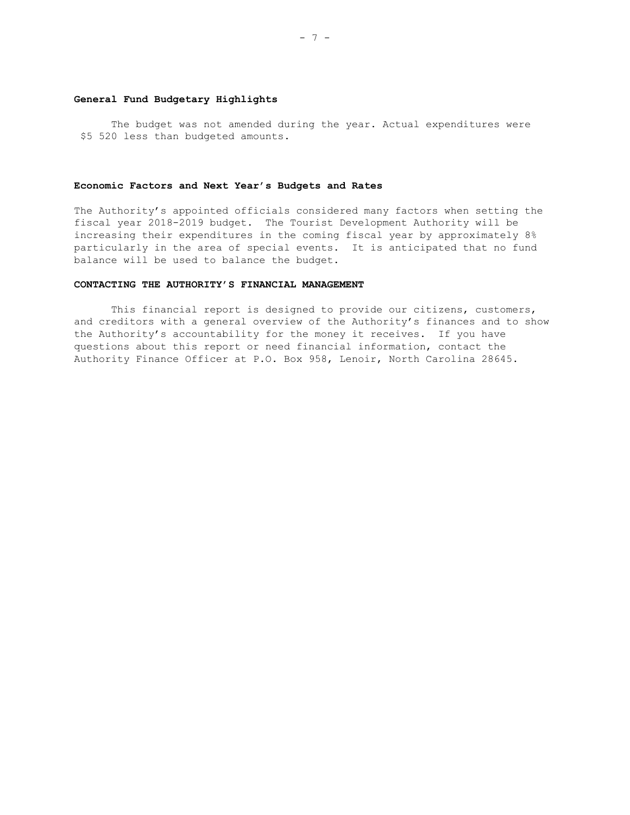### **General Fund Budgetary Highlights**

The budget was not amended during the year. Actual expenditures were \$5 520 less than budgeted amounts.

# **Economic Factors and Next Year's Budgets and Rates**

The Authority's appointed officials considered many factors when setting the fiscal year 2018-2019 budget. The Tourist Development Authority will be increasing their expenditures in the coming fiscal year by approximately 8% particularly in the area of special events. It is anticipated that no fund balance will be used to balance the budget.

### **CONTACTING THE AUTHORITY'S FINANCIAL MANAGEMENT**

This financial report is designed to provide our citizens, customers, and creditors with a general overview of the Authority's finances and to show the Authority's accountability for the money it receives. If you have questions about this report or need financial information, contact the Authority Finance Officer at P.O. Box 958, Lenoir, North Carolina 28645.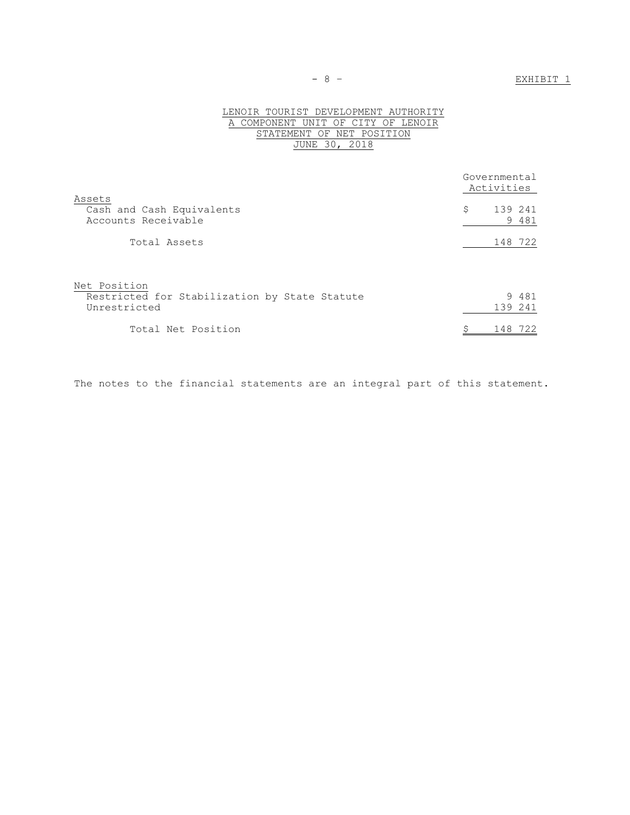# LENOIR TOURIST DEVELOPMENT AUTHORITY A COMPONENT UNIT OF CITY OF LENOIR STATEMENT OF NET POSITION JUNE 30, 2018

|                                                                               | Governmental<br>Activities |
|-------------------------------------------------------------------------------|----------------------------|
| Assets<br>Cash and Cash Equivalents<br>Accounts Receivable                    | \$<br>139 241<br>9 481     |
| Total Assets                                                                  | 148 722                    |
| Net Position<br>Restricted for Stabilization by State Statute<br>Unrestricted | 9 481<br>139 241           |
| Total Net Position                                                            | 148 722                    |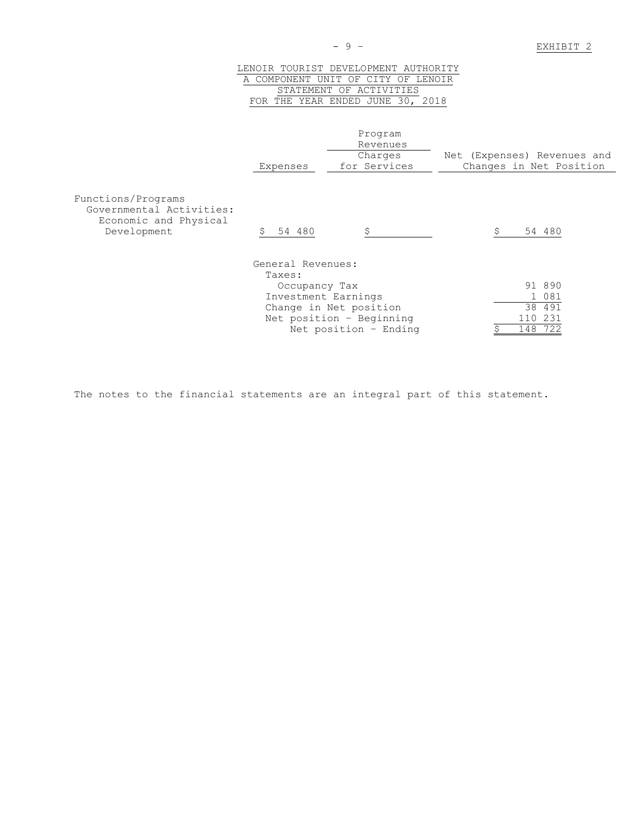# LENOIR TOURIST DEVELOPMENT AUTHORITY A COMPONENT UNIT OF CITY OF LENOIR STATEMENT OF ACTIVITIES FOR THE YEAR ENDED JUNE 30, 2018 Program Revenues Charges Net (Expenses) Revenues and Expenses for Services Changes in Net Position Functions/Programs Governmental Activities: Economic and Physical  $\frac{1}{5}$  54 480  $\frac{5}{1}$   $\frac{5}{1}$   $\frac{5}{1}$   $\frac{1}{2}$   $\frac{1}{2}$   $\frac{5}{1}$   $\frac{5}{1}$   $\frac{480}{1}$  General Revenues: Taxes: Occupancy Tax 91 890 Investment Earnings 1 081 Change in Net position and the Change in Net position - Beginning 110 231 Net position – Beginning  $\frac{110\ 231}{5\ 148\ 722}$

Net position - Ending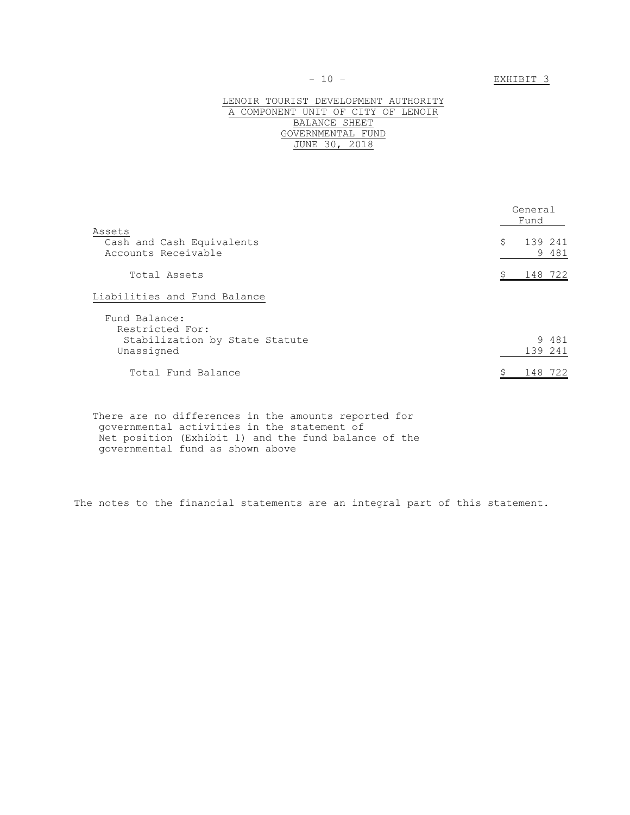# - 10 – EXHIBIT 3

# LENOIR TOURIST DEVELOPMENT AUTHORITY A COMPONENT UNIT OF CITY OF LENOIR BALANCE SHEET GOVERNMENTAL FUND JUNE 30, 2018

|                                                                    | General<br>Fund        |
|--------------------------------------------------------------------|------------------------|
| Assets<br>Cash and Cash Equivalents<br>Accounts Receivable         | \$<br>139 241<br>9 481 |
| Total Assets                                                       | 148 722                |
| Liabilities and Fund Balance                                       |                        |
| Fund Balance:<br>Restricted For:<br>Stabilization by State Statute | 9 481                  |
| Unassigned                                                         | 139 241                |
| Total Fund Balance                                                 | 148 722                |

 There are no differences in the amounts reported for governmental activities in the statement of Net position (Exhibit 1) and the fund balance of the governmental fund as shown above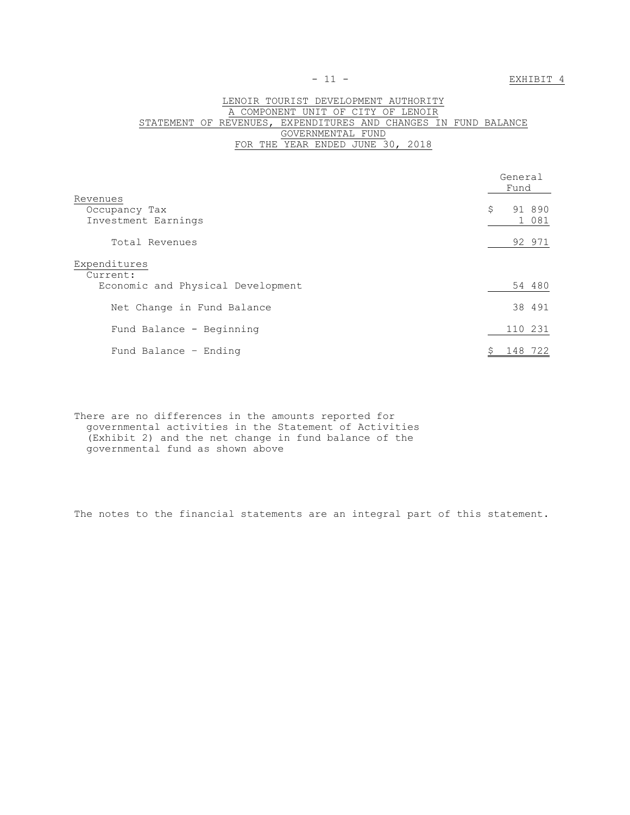# LENOIR TOURIST DEVELOPMENT AUTHORITY A COMPONENT UNIT OF CITY OF LENOIR STATEMENT OF REVENUES, EXPENDITURES AND CHANGES IN FUND BALANCE GOVERNMENTAL FUND FOR THE YEAR ENDED JUNE 30, 2018

|                                   | General<br>Fund |
|-----------------------------------|-----------------|
| Revenues                          |                 |
| Occupancy Tax                     | \$<br>91 890    |
| Investment Earnings               | 1 081           |
| Total Revenues                    | 92 971          |
| Expenditures<br>Current:          |                 |
| Economic and Physical Development | 54 480          |
| Net Change in Fund Balance        | 38 491          |
| Fund Balance - Beginning          | 110 231         |
| Fund Balance - Ending             | 148 722<br>\$.  |

There are no differences in the amounts reported for governmental activities in the Statement of Activities (Exhibit 2) and the net change in fund balance of the governmental fund as shown above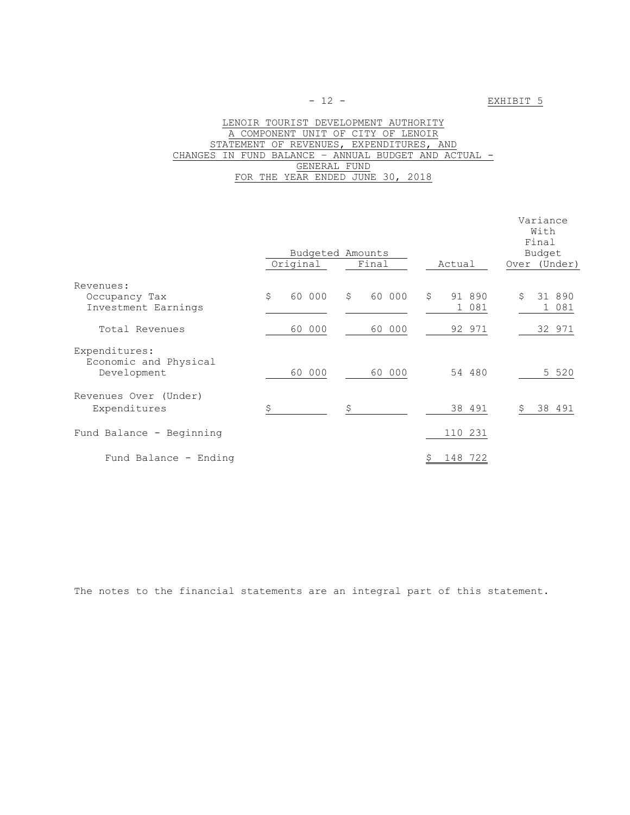# LENOIR TOURIST DEVELOPMENT AUTHORITY A COMPONENT UNIT OF CITY OF LENOIR STATEMENT OF REVENUES, EXPENDITURES, AND CHANGES IN FUND BALANCE – ANNUAL BUDGET AND ACTUAL - GENERAL FUND FOR THE YEAR ENDED JUNE 30, 2018

|                                                       | Budgeted Amounts |              |     |                 | Variance<br>With<br>Final<br>Budget |
|-------------------------------------------------------|------------------|--------------|-----|-----------------|-------------------------------------|
|                                                       | Original         | Final        |     | Actual          | Over (Under)                        |
| Revenues:                                             |                  |              |     |                 |                                     |
| Occupancy Tax<br>Investment Earnings                  | \$<br>60 000     | \$<br>60 000 | \$  | 91 890<br>1 081 | \$<br>31 890<br>1 081               |
| Total Revenues                                        | 60 000           | 60 000       |     | 92 971          | 32 971                              |
| Expenditures:<br>Economic and Physical<br>Development | 60 000           | 60 000       |     | 54 480          | 5 5 2 0                             |
| Revenues Over (Under)<br>Expenditures                 | \$               | \$           |     | 38 491          | 38 491<br>\$                        |
| Fund Balance - Beginning                              |                  |              |     | 110 231         |                                     |
| Fund Balance - Ending                                 |                  |              | \$. | 148 722         |                                     |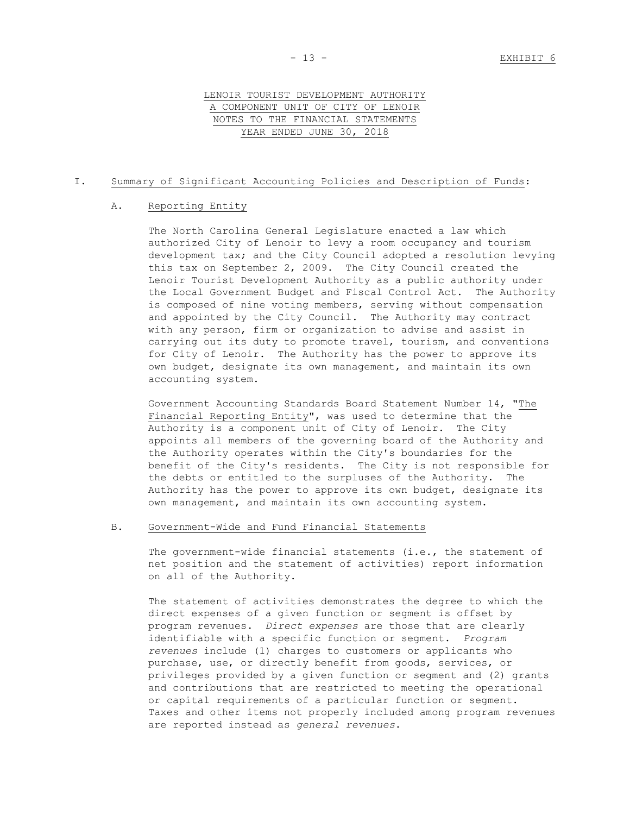# LENOIR TOURIST DEVELOPMENT AUTHORITY A COMPONENT UNIT OF CITY OF LENOIR NOTES TO THE FINANCIAL STATEMENTS YEAR ENDED JUNE 30, 2018

# I. Summary of Significant Accounting Policies and Description of Funds:

### A. Reporting Entity

The North Carolina General Legislature enacted a law which authorized City of Lenoir to levy a room occupancy and tourism development tax; and the City Council adopted a resolution levying this tax on September 2, 2009. The City Council created the Lenoir Tourist Development Authority as a public authority under the Local Government Budget and Fiscal Control Act. The Authority is composed of nine voting members, serving without compensation and appointed by the City Council. The Authority may contract with any person, firm or organization to advise and assist in carrying out its duty to promote travel, tourism, and conventions for City of Lenoir. The Authority has the power to approve its own budget, designate its own management, and maintain its own accounting system.

Government Accounting Standards Board Statement Number 14, "The Financial Reporting Entity", was used to determine that the Authority is a component unit of City of Lenoir. The City appoints all members of the governing board of the Authority and the Authority operates within the City's boundaries for the benefit of the City's residents. The City is not responsible for the debts or entitled to the surpluses of the Authority. The Authority has the power to approve its own budget, designate its own management, and maintain its own accounting system.

# B. Government-Wide and Fund Financial Statements

The government-wide financial statements (i.e., the statement of net position and the statement of activities) report information on all of the Authority.

The statement of activities demonstrates the degree to which the direct expenses of a given function or segment is offset by program revenues. *Direct expenses* are those that are clearly identifiable with a specific function or segment. *Program revenues* include (1) charges to customers or applicants who purchase, use, or directly benefit from goods, services, or privileges provided by a given function or segment and (2) grants and contributions that are restricted to meeting the operational or capital requirements of a particular function or segment. Taxes and other items not properly included among program revenues are reported instead as *general revenues*.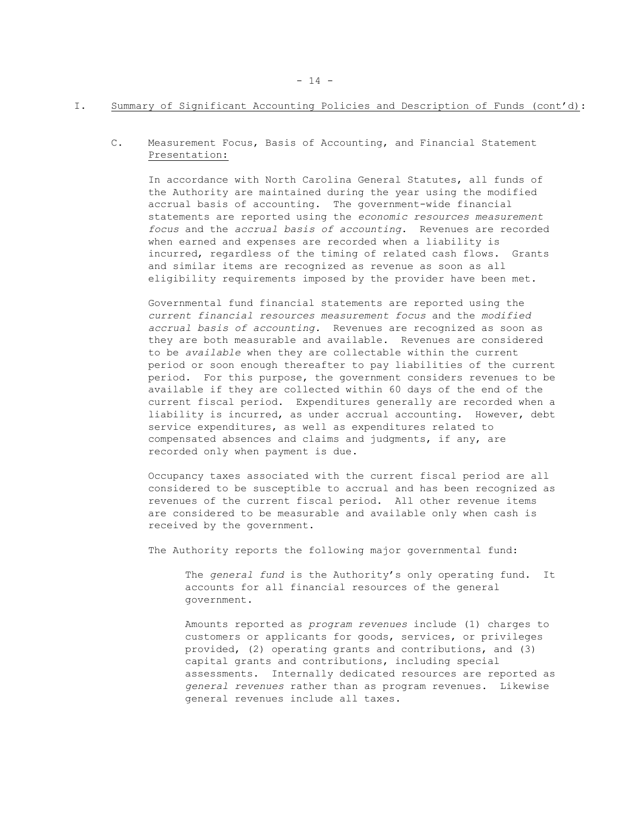## I. Summary of Significant Accounting Policies and Description of Funds (cont'd):

C. Measurement Focus, Basis of Accounting, and Financial Statement Presentation:

In accordance with North Carolina General Statutes, all funds of the Authority are maintained during the year using the modified accrual basis of accounting. The government-wide financial statements are reported using the *economic resources measurement focus* and the *accrual basis of accounting*. Revenues are recorded when earned and expenses are recorded when a liability is incurred, regardless of the timing of related cash flows. Grants and similar items are recognized as revenue as soon as all eligibility requirements imposed by the provider have been met.

Governmental fund financial statements are reported using the *current financial resources measurement focus* and the *modified accrual basis of accounting.* Revenues are recognized as soon as they are both measurable and available. Revenues are considered to be *available* when they are collectable within the current period or soon enough thereafter to pay liabilities of the current period. For this purpose, the government considers revenues to be available if they are collected within 60 days of the end of the current fiscal period. Expenditures generally are recorded when a liability is incurred, as under accrual accounting. However, debt service expenditures, as well as expenditures related to compensated absences and claims and judgments, if any, are recorded only when payment is due.

Occupancy taxes associated with the current fiscal period are all considered to be susceptible to accrual and has been recognized as revenues of the current fiscal period. All other revenue items are considered to be measurable and available only when cash is received by the government.

The Authority reports the following major governmental fund:

The *general fund* is the Authority's only operating fund. It accounts for all financial resources of the general government.

Amounts reported as *program revenues* include (1) charges to customers or applicants for goods, services, or privileges provided, (2) operating grants and contributions, and (3) capital grants and contributions, including special assessments. Internally dedicated resources are reported as *general revenues* rather than as program revenues. Likewise general revenues include all taxes.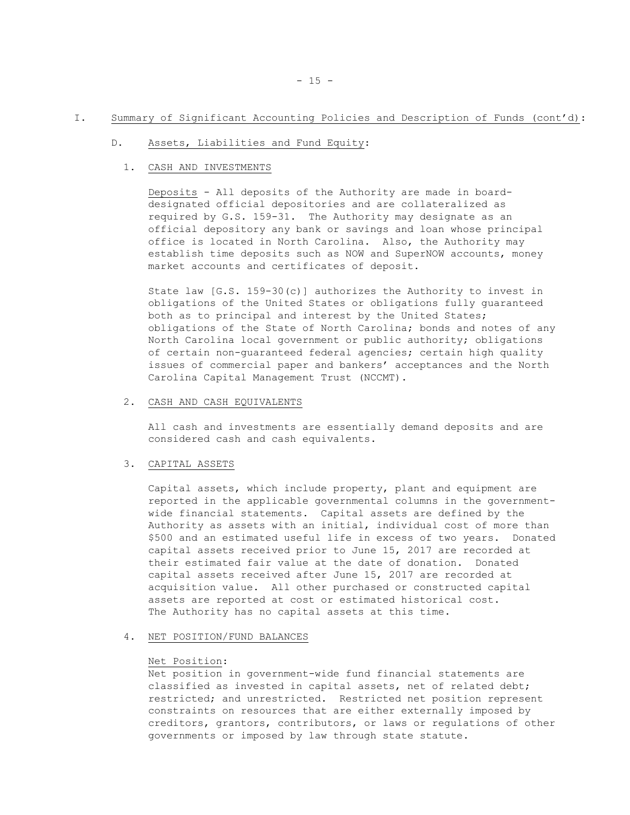# I. Summary of Significant Accounting Policies and Description of Funds (cont'd):

# D. Assets, Liabilities and Fund Equity:

## 1. CASH AND INVESTMENTS

Deposits - All deposits of the Authority are made in boarddesignated official depositories and are collateralized as required by G.S. 159-31. The Authority may designate as an official depository any bank or savings and loan whose principal office is located in North Carolina. Also, the Authority may establish time deposits such as NOW and SuperNOW accounts, money market accounts and certificates of deposit.

State law [G.S. 159-30(c)] authorizes the Authority to invest in obligations of the United States or obligations fully guaranteed both as to principal and interest by the United States; obligations of the State of North Carolina; bonds and notes of any North Carolina local government or public authority; obligations of certain non-guaranteed federal agencies; certain high quality issues of commercial paper and bankers' acceptances and the North Carolina Capital Management Trust (NCCMT).

# 2. CASH AND CASH EQUIVALENTS

 All cash and investments are essentially demand deposits and are considered cash and cash equivalents.

# 3. CAPITAL ASSETS

Capital assets, which include property, plant and equipment are reported in the applicable governmental columns in the governmentwide financial statements. Capital assets are defined by the Authority as assets with an initial, individual cost of more than \$500 and an estimated useful life in excess of two years. Donated capital assets received prior to June 15, 2017 are recorded at their estimated fair value at the date of donation. Donated capital assets received after June 15, 2017 are recorded at acquisition value. All other purchased or constructed capital assets are reported at cost or estimated historical cost. The Authority has no capital assets at this time.

# 4. NET POSITION/FUND BALANCES

# Net Position:

Net position in government-wide fund financial statements are classified as invested in capital assets, net of related debt; restricted; and unrestricted. Restricted net position represent constraints on resources that are either externally imposed by creditors, grantors, contributors, or laws or regulations of other governments or imposed by law through state statute.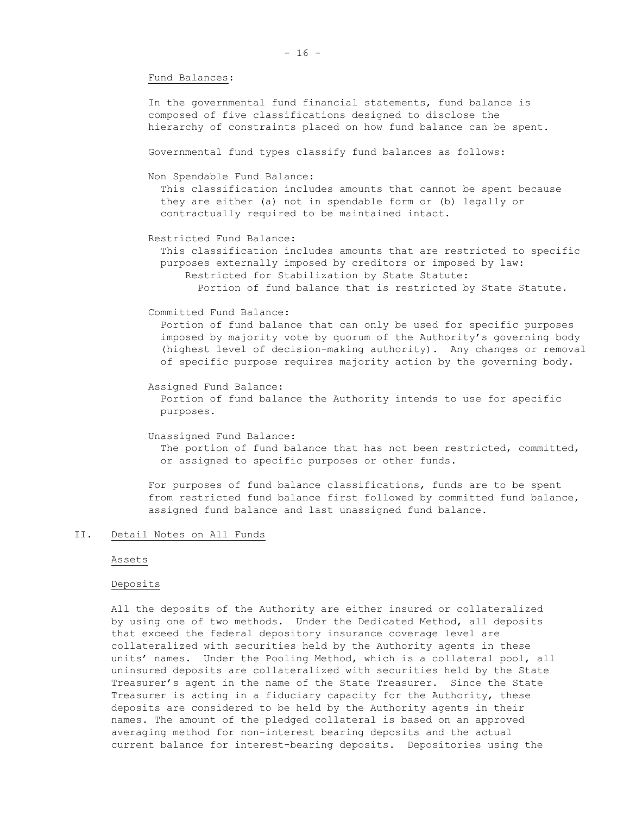### Fund Balances:

In the governmental fund financial statements, fund balance is composed of five classifications designed to disclose the hierarchy of constraints placed on how fund balance can be spent. Governmental fund types classify fund balances as follows: Non Spendable Fund Balance: This classification includes amounts that cannot be spent because they are either (a) not in spendable form or (b) legally or contractually required to be maintained intact. Restricted Fund Balance: This classification includes amounts that are restricted to specific purposes externally imposed by creditors or imposed by law: Restricted for Stabilization by State Statute: Portion of fund balance that is restricted by State Statute. Committed Fund Balance: Portion of fund balance that can only be used for specific purposes imposed by majority vote by quorum of the Authority's governing body (highest level of decision-making authority). Any changes or removal of specific purpose requires majority action by the governing body. Assigned Fund Balance: Portion of fund balance the Authority intends to use for specific purposes. Unassigned Fund Balance: The portion of fund balance that has not been restricted, committed, or assigned to specific purposes or other funds. For purposes of fund balance classifications, funds are to be spent from restricted fund balance first followed by committed fund balance,

### II. Detail Notes on All Funds

# Assets

# Deposits

All the deposits of the Authority are either insured or collateralized by using one of two methods. Under the Dedicated Method, all deposits that exceed the federal depository insurance coverage level are collateralized with securities held by the Authority agents in these units' names. Under the Pooling Method, which is a collateral pool, all uninsured deposits are collateralized with securities held by the State Treasurer's agent in the name of the State Treasurer. Since the State Treasurer is acting in a fiduciary capacity for the Authority, these deposits are considered to be held by the Authority agents in their names. The amount of the pledged collateral is based on an approved averaging method for non-interest bearing deposits and the actual current balance for interest-bearing deposits. Depositories using the

assigned fund balance and last unassigned fund balance.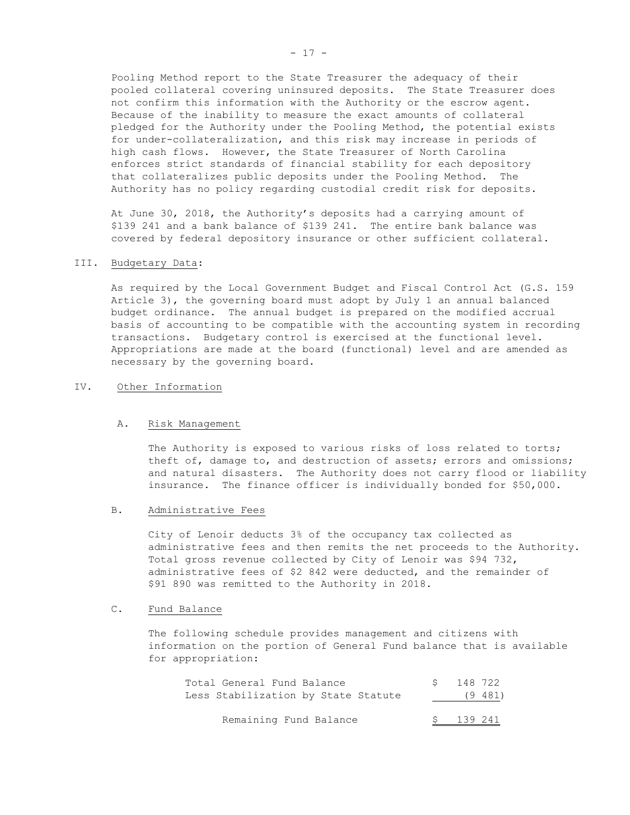Pooling Method report to the State Treasurer the adequacy of their pooled collateral covering uninsured deposits. The State Treasurer does not confirm this information with the Authority or the escrow agent. Because of the inability to measure the exact amounts of collateral pledged for the Authority under the Pooling Method, the potential exists for under-collateralization, and this risk may increase in periods of high cash flows. However, the State Treasurer of North Carolina enforces strict standards of financial stability for each depository that collateralizes public deposits under the Pooling Method. The Authority has no policy regarding custodial credit risk for deposits.

At June 30, 2018, the Authority's deposits had a carrying amount of \$139 241 and a bank balance of \$139 241. The entire bank balance was covered by federal depository insurance or other sufficient collateral.

# III. Budgetary Data:

As required by the Local Government Budget and Fiscal Control Act (G.S. 159 Article 3), the governing board must adopt by July 1 an annual balanced budget ordinance. The annual budget is prepared on the modified accrual basis of accounting to be compatible with the accounting system in recording transactions. Budgetary control is exercised at the functional level. Appropriations are made at the board (functional) level and are amended as necessary by the governing board.

# IV. Other Information

# A. Risk Management

The Authority is exposed to various risks of loss related to torts; theft of, damage to, and destruction of assets; errors and omissions; and natural disasters. The Authority does not carry flood or liability insurance. The finance officer is individually bonded for \$50,000.

# B. Administrative Fees

City of Lenoir deducts 3% of the occupancy tax collected as administrative fees and then remits the net proceeds to the Authority. Total gross revenue collected by City of Lenoir was \$94 732, administrative fees of \$2 842 were deducted, and the remainder of \$91 890 was remitted to the Authority in 2018.

# C. Fund Balance

The following schedule provides management and citizens with information on the portion of General Fund balance that is available for appropriation:

| Total General Fund Balance          | \$148722 |  |
|-------------------------------------|----------|--|
| Less Stabilization by State Statute | (9 481)  |  |
| Remaining Fund Balance              | 139 241  |  |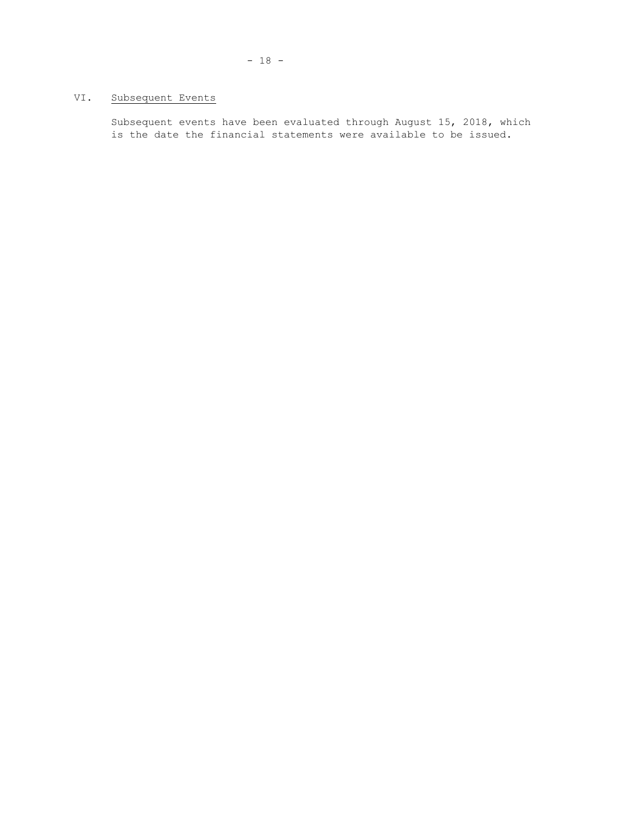# VI. Subsequent Events

Subsequent events have been evaluated through August 15, 2018, which is the date the financial statements were available to be issued.